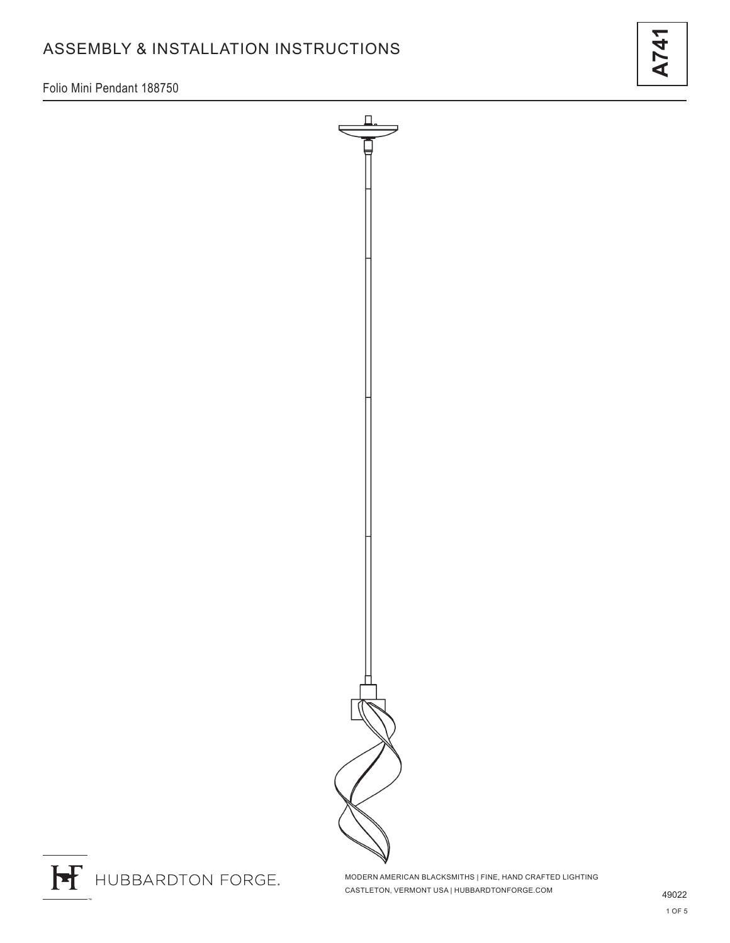# ASSEMBLY & INSTALLATION INSTRUCTIONS

Folio Mini Pendant 188750



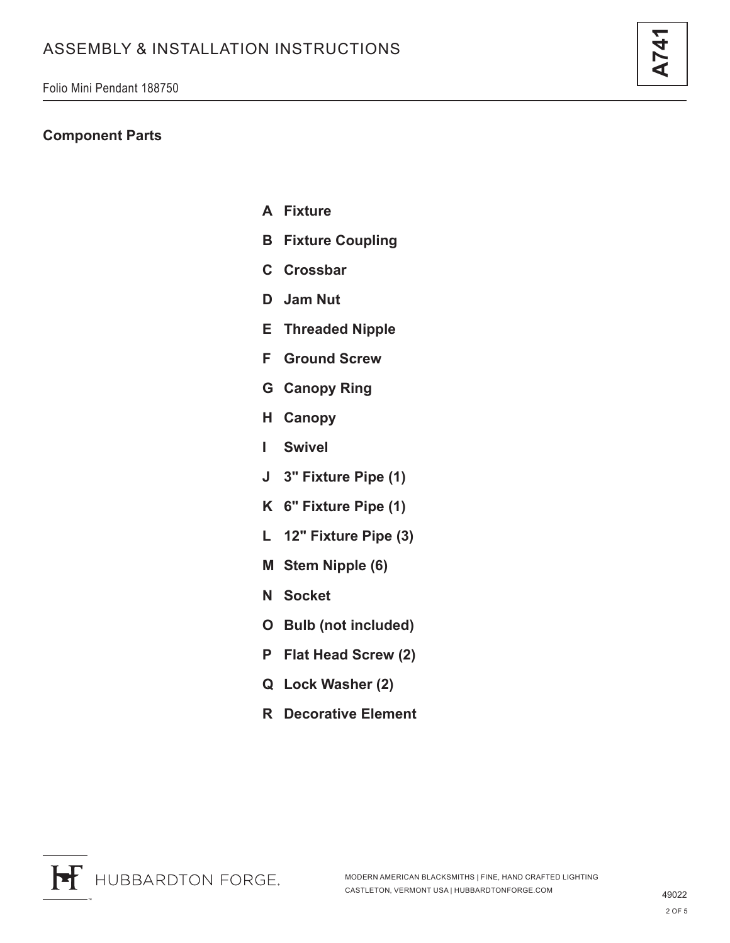### **Component Parts**

- **A Fixture**
- **B Fixture Coupling**
- **C Crossbar**
- **D Jam Nut**
- **E Threaded Nipple**
- **F Ground Screw**
- **G Canopy Ring**
- **H Canopy**
- **I Swivel**
- **J 3" Fixture Pipe (1)**
- **K 6" Fixture Pipe (1)**
- **L 12" Fixture Pipe (3)**
- **M Stem Nipple (6)**
- **N Socket**
- **O Bulb (not included)**
- **P Flat Head Screw (2)**
- **Q Lock Washer (2)**
- **R Decorative Element**

**A741**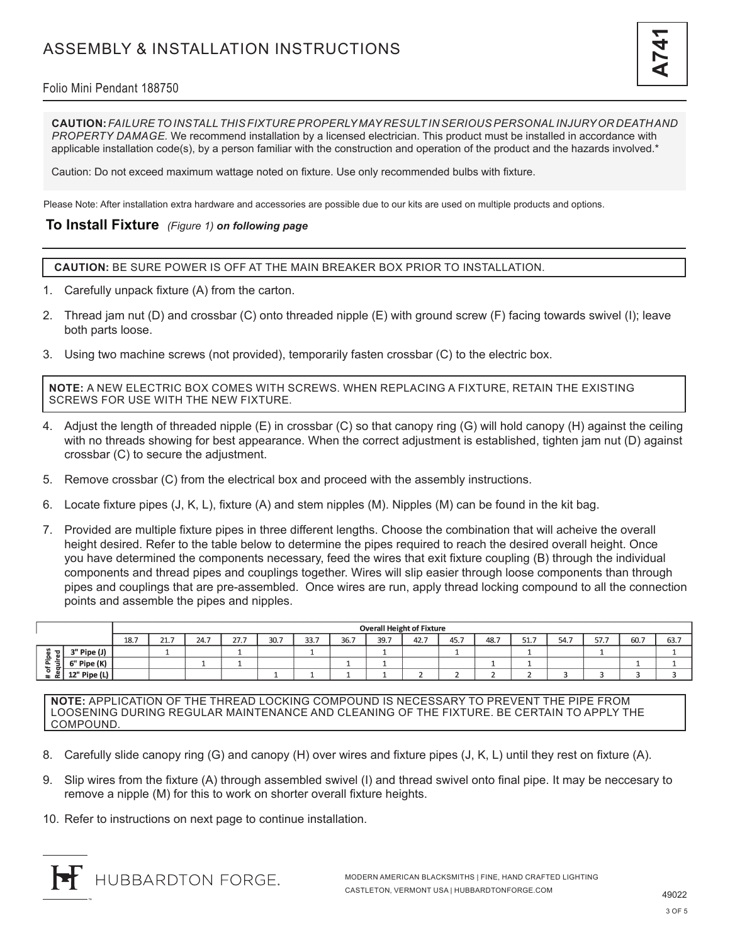

### Folio Mini Pendant 188750

**CAUTION:** *FAILURE TO INSTALL THIS FIXTURE PROPERLY MAY RESULT IN SERIOUS PERSONAL INJURY OR DEATH AND PROPERTY DAMAGE.* We recommend installation by a licensed electrician. This product must be installed in accordance with applicable installation code(s), by a person familiar with the construction and operation of the product and the hazards involved.\*

Caution: Do not exceed maximum wattage noted on fixture. Use only recommended bulbs with fixture.

Please Note: After installation extra hardware and accessories are possible due to our kits are used on multiple products and options.

#### **To Install Fixture** *(Figure 1) on following page*

**CAUTION:** BE SURE POWER IS OFF AT THE MAIN BREAKER BOX PRIOR TO INSTALLATION.

- 1. Carefully unpack fixture (A) from the carton.
- 2. Thread jam nut (D) and crossbar (C) onto threaded nipple (E) with ground screw (F) facing towards swivel (I); leave both parts loose.
- 3. Using two machine screws (not provided), temporarily fasten crossbar (C) to the electric box.

**NOTE:** A NEW ELECTRIC BOX COMES WITH SCREWS. WHEN REPLACING A FIXTURE, RETAIN THE EXISTING SCREWS FOR USE WITH THE NEW FIXTURE.

- 4. Adjust the length of threaded nipple (E) in crossbar (C) so that canopy ring (G) will hold canopy (H) against the ceiling with no threads showing for best appearance. When the correct adjustment is established, tighten jam nut (D) against crossbar (C) to secure the adjustment.
- 5. Remove crossbar (C) from the electrical box and proceed with the assembly instructions.
- 6. Locate fixture pipes (J, K, L), fixture (A) and stem nipples (M). Nipples (M) can be found in the kit bag.
- 7. Provided are multiple fixture pipes in three different lengths. Choose the combination that will acheive the overall height desired. Refer to the table below to determine the pipes required to reach the desired overall height. Once you have determined the components necessary, feed the wires that exit fixture coupling (B) through the individual components and thread pipes and couplings together. Wires will slip easier through loose components than through pipes and couplings that are pre-assembled. Once wires are run, apply thread locking compound to all the connection points and assemble the pipes and nipples.

|                                                                    |                  | <b>Overall Height of Fixture</b> |                          |      |      |      |      |      |      |      |      |      |      |      |      |      |      |
|--------------------------------------------------------------------|------------------|----------------------------------|--------------------------|------|------|------|------|------|------|------|------|------|------|------|------|------|------|
|                                                                    |                  | 18.7                             | $\sim$ $-$<br><b>44.</b> | 24.7 | 27.7 | 30.7 | 33.7 | 36.7 | 39.7 | 42.7 | 45.7 | 48.7 | 51.7 | 54.7 | 57.7 | 60.7 | 63.7 |
| ਰਾ<br>ᇰ<br>置<br>. .<br>-<br>$\leftarrow$<br>п<br>o<br>$\mathbf{a}$ | 3" Pipe (J)<br>a |                                  |                          |      |      |      |      |      |      |      |      |      |      |      |      |      |      |
|                                                                    | 6" Pipe (K)      |                                  |                          |      |      |      |      |      |      |      |      |      |      |      |      |      |      |
|                                                                    | 12" Pipe (L)     |                                  |                          |      |      |      |      |      |      |      |      |      |      |      |      |      |      |

**NOTE:** APPLICATION OF THE THREAD LOCKING COMPOUND IS NECESSARY TO PREVENT THE PIPE FROM LOOSENING DURING REGULAR MAINTENANCE AND CLEANING OF THE FIXTURE. BE CERTAIN TO APPLY THE COMPOUND.

- 8. Carefully slide canopy ring (G) and canopy (H) over wires and fixture pipes (J, K, L) until they rest on fixture (A).
- 9. Slip wires from the fixture (A) through assembled swivel (I) and thread swivel onto final pipe. It may be neccesary to remove a nipple (M) for this to work on shorter overall fixture heights.
- 10. Refer to instructions on next page to continue installation.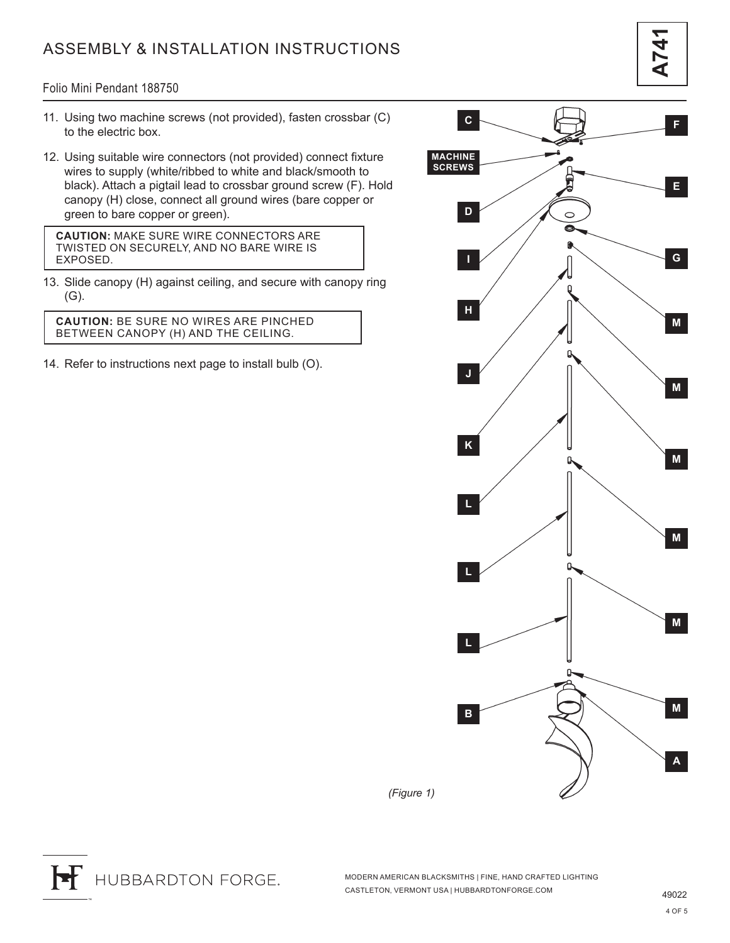# ASSEMBLY & INSTALLATION INSTRUCTIONS

**A741**

#### Folio Mini Pendant 188750

- 11. Using two machine screws (not provided), fasten crossbar (C) to the electric box.
- 12. Using suitable wire connectors (not provided) connect fixture wires to supply (white/ribbed to white and black/smooth to black). Attach a pigtail lead to crossbar ground screw (F). Hold canopy (H) close, connect all ground wires (bare copper or green to bare copper or green).

**CAUTION:** MAKE SURE WIRE CONNECTORS ARE TWISTED ON SECURELY, AND NO BARE WIRE IS EXPOSED.

13. Slide canopy (H) against ceiling, and secure with canopy ring (G).

**CAUTION:** BE SURE NO WIRES ARE PINCHED BETWEEN CANOPY (H) AND THE CEILING.

14. Refer to instructions next page to install bulb (O).



F HUBBARDTON FORGE.